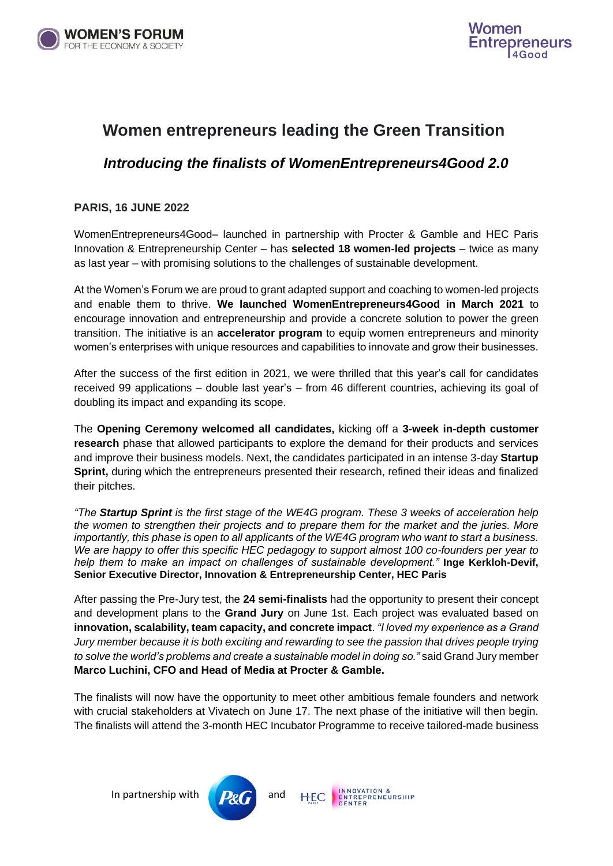



# **Women entrepreneurs leading the Green Transition**

### *Introducing the finalists of WomenEntrepreneurs4Good 2.0*

#### **PARIS, 16 JUNE 2022**

WomenEntrepreneurs4Good– launched in partnership with Procter & Gamble and HEC Paris Innovation & Entrepreneurship Center – has **selected 18 women-led projects** – twice as many as last year – with promising solutions to the challenges of sustainable development.

At the Women's Forum we are proud to grant adapted support and coaching to women-led projects and enable them to thrive. **We launched WomenEntrepreneurs4Good in March 2021** to encourage innovation and entrepreneurship and provide a concrete solution to power the green transition. The initiative is an **accelerator program** to equip women entrepreneurs and minority women's enterprises with unique resources and capabilities to innovate and grow their businesses.

After the success of the first edition in 2021, we were thrilled that this year's call for candidates received 99 applications – double last year's – from 46 different countries, achieving its goal of doubling its impact and expanding its scope.

The **Opening Ceremony welcomed all candidates,** kicking off a **3-week in-depth customer research** phase that allowed participants to explore the demand for their products and services and improve their business models. Next, the candidates participated in an intense 3-day **Startup Sprint,** during which the entrepreneurs presented their research, refined their ideas and finalized their pitches.

*"The Startup Sprint is the first stage of the WE4G program. These 3 weeks of acceleration help the women to strengthen their projects and to prepare them for the market and the juries. More importantly, this phase is open to all applicants of the WE4G program who want to start a business. We are happy to offer this specific HEC pedagogy to support almost 100 co-founders per year to help them to make an impact on challenges of sustainable development."* **Inge Kerkloh-Devif, Senior Executive Director, Innovation & Entrepreneurship Center, HEC Paris**

After passing the Pre-Jury test, the **24 semi-finalists** had the opportunity to present their concept and development plans to the **Grand Jury** on June 1st. Each project was evaluated based on **innovation, scalability, team capacity, and concrete impact**. *"I loved my experience as a Grand Jury member because it is both exciting and rewarding to see the passion that drives people trying to solve the world's problems and create a sustainable model in doing so."* said Grand Jury member **Marco Luchini, CFO and Head of Media at Procter & Gamble.** 

The finalists will now have the opportunity to meet other ambitious female founders and network with crucial stakeholders at Vivatech on June 17. The next phase of the initiative will then begin. The finalists will attend the 3-month HEC Incubator Programme to receive tailored-made business



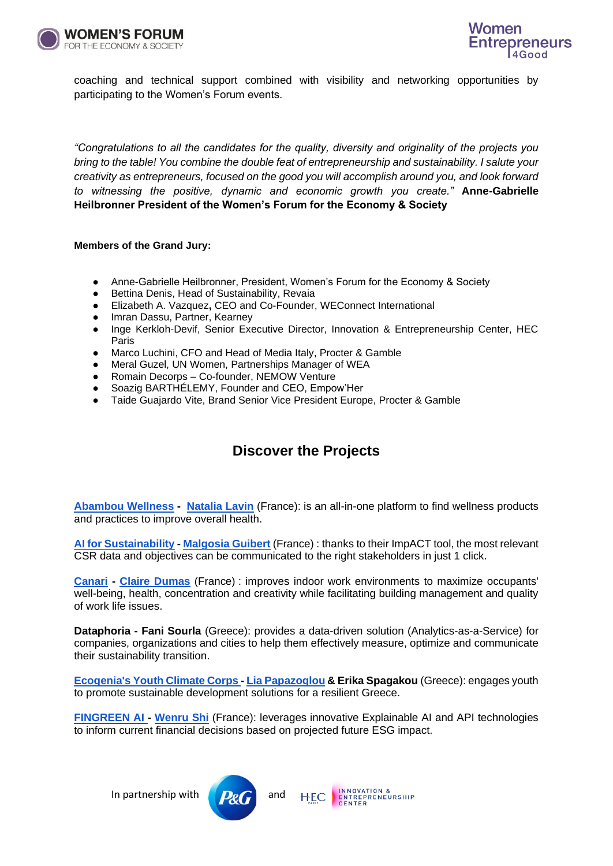



coaching and technical support combined with visibility and networking opportunities by participating to the Women's Forum events.

*"Congratulations to all the candidates for the quality, diversity and originality of the projects you bring to the table! You combine the double feat of entrepreneurship and sustainability. I salute your creativity as entrepreneurs, focused on the good you will accomplish around you, and look forward to witnessing the positive, dynamic and economic growth you create."* **Anne-Gabrielle Heilbronner President of the Women's Forum for the Economy & Society**

#### **Members of the Grand Jury:**

- Anne-Gabrielle Heilbronner, President, Women's Forum for the Economy & Society
- Bettina Denis, Head of Sustainability, Revaia
- Elizabeth A. Vazquez**,** CEO and Co-Founder, WEConnect International
- Imran Dassu, Partner, Kearney
- Inge Kerkloh-Devif, Senior Executive Director, Innovation & Entrepreneurship Center, HEC Paris
- Marco Luchini, CFO and Head of Media Italy, Procter & Gamble
- Meral Guzel, UN Women, Partnerships Manager of WEA
- Romain Decorps Co-founder, NEMOW Venture
- Soazig BARTHÉLEMY, Founder and CEO, Empow'Her
- Taide Guajardo Vite, Brand Senior Vice President Europe, Procter & Gamble

## **Discover the Projects**

**[Abambou Wellness](https://www.linkedin.com/company/abambou-wellness/) - [Natalia Lavin](https://www.linkedin.com/in/natalialavin/?originalSubdomain=fr)** (France): is an all-in-one platform to find wellness products and practices to improve overall health.

**[AI for Sustainability](https://www.linkedin.com/company/ai-for-sustainability/) - [Malgosia Guibert](https://www.linkedin.com/in/malgosia-guibert-infj-297668b/?original_referer=https%3A%2F%2Fwww%2Egoogle%2Ecom%2F&originalSubdomain=fr)** (France) : thanks to their ImpACT tool, the most relevant CSR data and objectives can be communicated to the right stakeholders in just 1 click.

**[Canari](https://www.linkedin.com/company/canari/) - [Claire Dumas](https://www.linkedin.com/in/claire-dumas-aa926b1b4/?originalSubdomain=fr)** (France) : improves indoor work environments to maximize occupants' well-being, health, concentration and creativity while facilitating building management and quality of work life issues.

**Dataphoria - Fani Sourla** (Greece): provides a data-driven solution (Analytics-as-a-Service) for companies, organizations and cities to help them effectively measure, optimize and communicate their sustainability transition.

**[Ecogenia's Youth Climate Corps -](https://www.linkedin.com/company/ecogeniaorg/) [Lia Papazoglou](https://www.linkedin.com/in/lia-papazoglou-b2593551/) & Erika Spagakou** (Greece): engages youth to promote sustainable development solutions for a resilient Greece.

**[FINGREEN AI -](https://www.linkedin.com/company/fingreen-ai/) [Wenru Shi](https://www.linkedin.com/in/wenrushi/?locale=en_US)** (France): leverages innovative Explainable AI and API technologies to inform current financial decisions based on projected future ESG impact.